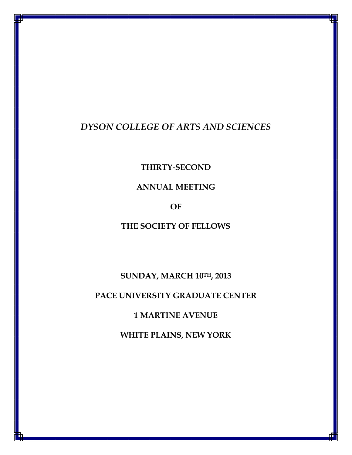# DYSON COLLEGE OF ARTS AND SCIENCES

THIRTY-SECOND

ANNUAL MEETING

OF

THE SOCIETY OF FELLOWS

SUNDAY, MARCH 10TH, 2013

PACE UNIVERSITY GRADUATE CENTER

1 MARTINE AVENUE

WHITE PLAINS, NEW YORK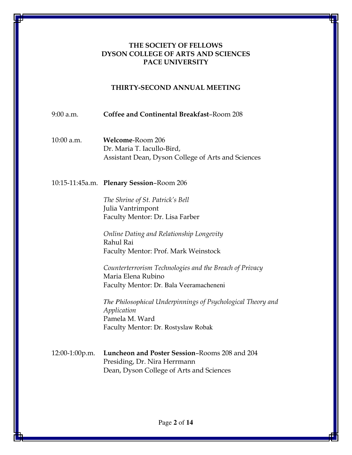## THE SOCIETY OF FELLOWS DYSON COLLEGE OF ARTS AND SCIENCES PACE UNIVERSITY

## THIRTY-SECOND ANNUAL MEETING

9:00 a.m. Coffee and Continental Breakfast–Room 208

10:00 a.m. Welcome-Room 206 Dr. Maria T. Iacullo-Bird, Assistant Dean, Dyson College of Arts and Sciences

10:15-11:45a.m. Plenary Session–Room 206

The Shrine of St. Patrick's Bell Julia Vantrimpont Faculty Mentor: Dr. Lisa Farber

Online Dating and Relationship Longevity Rahul Rai Faculty Mentor: Prof. Mark Weinstock

Counterterrorism Technologies and the Breach of Privacy Maria Elena Rubino Faculty Mentor: Dr. Bala Veeramacheneni

*The Philosophical* Underpinnings of Psychological Theory and Application Pamela M. Ward Faculty Mentor: Dr. Rostyslaw Robak

12:00-1:00p.m. Luncheon and Poster Session–Rooms 208 and 204 Presiding, Dr. Nira Herrmann Dean, Dyson College of Arts and Sciences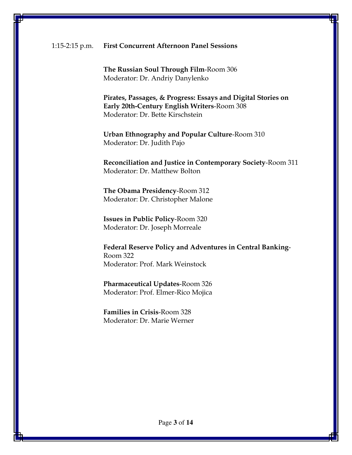The Russian Soul Through Film-Room 306 Moderator: Dr. Andriy Danylenko

Pirates, Passages, & Progress: Essays and Digital Stories on Early 20th-Century English Writers-Room 308 Moderator: Dr. Bette Kirschstein

Urban Ethnography and Popular Culture-Room 310 Moderator: Dr. Judith Pajo

Reconciliation and Justice in Contemporary Society-Room 311 Moderator: Dr. Matthew Bolton

The Obama Presidency-Room 312 Moderator: Dr. Christopher Malone

Issues in Public Policy-Room 320 Moderator: Dr. Joseph Morreale

Federal Reserve Policy and Adventures in Central Banking-Room 322 Moderator: Prof. Mark Weinstock

Pharmaceutical Updates-Room 326 Moderator: Prof. Elmer-Rico Mojica

Families in Crisis-Room 328 Moderator: Dr. Marie Werner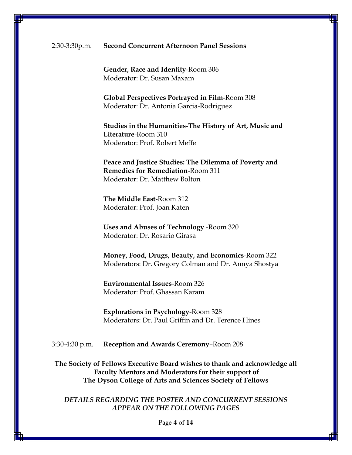Gender, Race and Identity-Room 306 Moderator: Dr. Susan Maxam

Global Perspectives Portrayed in Film-Room 308 Moderator: Dr. Antonia Garcia-Rodriguez

Studies in the Humanities-The History of Art, Music and Literature-Room 310 Moderator: Prof. Robert Meffe

Peace and Justice Studies: The Dilemma of Poverty and Remedies for Remediation-Room 311 Moderator: Dr. Matthew Bolton

The Middle East-Room 312 Moderator: Prof. Joan Katen

Uses and Abuses of Technology -Room 320 Moderator: Dr. Rosario Girasa

Money, Food, Drugs, Beauty, and Economics-Room 322 Moderators: Dr. Gregory Colman and Dr. Annya Shostya

Environmental Issues-Room 326 Moderator: Prof. Ghassan Karam

Explorations in Psychology-Room 328 Moderators: Dr. Paul Griffin and Dr. Terence Hines

3:30-4:30 p.m. Reception and Awards Ceremony–Room 208

The Society of Fellows Executive Board wishes to thank and acknowledge all Faculty Mentors and Moderators for their support of The Dyson College of Arts and Sciences Society of Fellows

DETAILS REGARDING THE POSTER AND CONCURRENT SESSIONS APPEAR ON THE FOLLOWING PAGES

Page **4** of **14**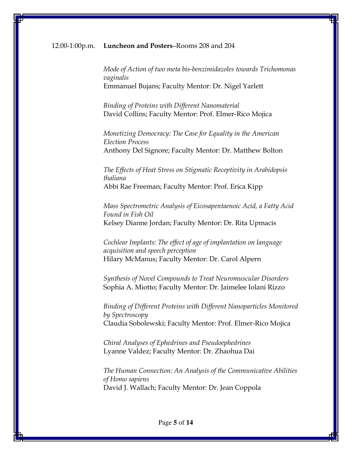#### 12:00-1:00p.m. Luncheon and Posters–Rooms 208 and 204

Mode of Action of two meta bis-benzimidazoles towards Trichomonas vaginalis Emmanuel Bujans; Faculty Mentor: Dr. Nigel Yarlett

Binding of Proteins with Different Nanomaterial David Collins; Faculty Mentor: Prof. Elmer-Rico Mojica

Monetizing Democracy: The Case for Equality in the American Election Process Anthony Del Signore; Faculty Mentor: Dr. Matthew Bolton

The Effects of Heat Stress on Stigmatic Receptivity in Arabidopsis thaliana Abbi Rae Freeman; Faculty Mentor: Prof. Erica Kipp

Mass Spectrometric Analysis of Eicosapentaenoic Acid, a Fatty Acid Found in Fish Oil Kelsey Dianne Jordan; Faculty Mentor: Dr. Rita Upmacis

Cochlear Implants: The effect of age of implantation on language acquisition and speech perception Hilary McManus; Faculty Mentor: Dr. Carol Alpern

Synthesis of Novel Compounds to Treat Neuromuscular Disorders Sophia A. Miotto; Faculty Mentor: Dr. Jaimelee Iolani Rizzo

Binding of Different Proteins with Different Nanoparticles Monitored by Spectroscopy Claudia Sobolewski; Faculty Mentor: Prof. Elmer-Rico Mojica

Chiral Analyses of Ephedrines and Pseudoephedrines Lyanne Valdez; Faculty Mentor: Dr. Zhaohua Dai

The Human Connection: An Analysis of the Communicative Abilities of Homo sapiens David J. Wallach; Faculty Mentor: Dr. Jean Coppola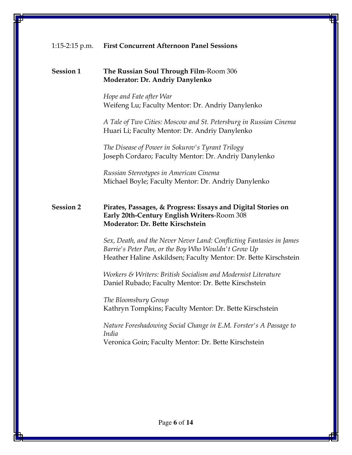#### Session 1 The Russian Soul Through Film-Room 306 Moderator: Dr. Andriy Danylenko

Hope and Fate after War Weifeng Lu; Faculty Mentor: Dr. Andriy Danylenko

A Tale of Two Cities: Moscow and St. Petersburg in Russian Cinema Huari Li; Faculty Mentor: Dr. Andriy Danylenko

The Disease of Power in Sokurov's Tyrant Trilogy Joseph Cordaro; Faculty Mentor: Dr. Andriy Danylenko

Russian Stereotypes in American Cinema Michael Boyle; Faculty Mentor: Dr. Andriy Danylenko

## Session 2 Pirates, Passages, & Progress: Essays and Digital Stories on Early 20th-Century English Writers-Room 308 Moderator: Dr. Bette Kirschstein

Sex, Death, and the Never Never Land: Conflicting Fantasies in James Barrie's Peter Pan, or the Boy Who Wouldn't Grow Up Heather Haline Askildsen; Faculty Mentor: Dr. Bette Kirschstein

Workers & Writers: British Socialism and Modernist Literature Daniel Rubado; Faculty Mentor: Dr. Bette Kirschstein

The Bloomsbury Group Kathryn Tompkins; Faculty Mentor: Dr. Bette Kirschstein

Nature Foreshadowing Social Change in E.M. Forster's A Passage to India Veronica Goin; Faculty Mentor: Dr. Bette Kirschstein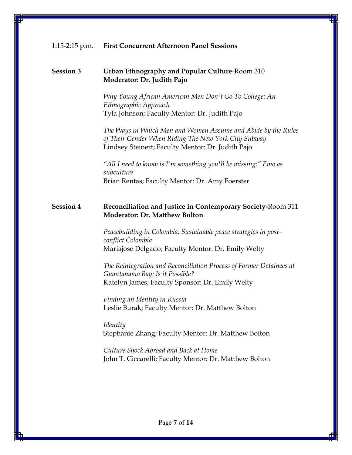#### Session 3 Urban Ethnography and Popular Culture-Room 310 Moderator: Dr. Judith Pajo

Why Young African American Men Don't Go To College: An Ethnographic Approach Tyla Johnson; Faculty Mentor: Dr. Judith Pajo

The Ways in Which Men and Women Assume and Abide by the Rules of Their Gender When Riding The New York City Subway Lindsey Steinert; Faculty Mentor: Dr. Judith Pajo

"All I need to know is I'm something you'll be missing:" Emo as subculture Brian Rentas; Faculty Mentor: Dr. Amy Foerster

## Session 4 Reconciliation and Justice in Contemporary Society-Room 311 Moderator: Dr. Matthew Bolton

Peacebuilding in Colombia: Sustainable peace strategies in post– conflict Colombia Mariajose Delgado; Faculty Mentor: Dr. Emily Welty

The Reintegration and Reconciliation Process of Former Detainees at Guantanamo Bay: Is it Possible? Katelyn James; Faculty Sponsor: Dr. Emily Welty

Finding an Identity in Russia Leslie Burak; Faculty Mentor: Dr. Matthew Bolton

Identity Stephanie Zhang; Faculty Mentor: Dr. Matthew Bolton

Culture Shock Abroad and Back at Home John T. Ciccarelli; Faculty Mentor: Dr. Matthew Bolton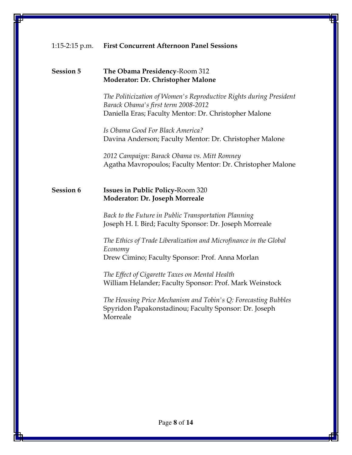## Session 5 The Obama Presidency-Room 312 Moderator: Dr. Christopher Malone

The Politicization of Women's Reproductive Rights during President Barack Obama's first term 2008-2012 Daniella Eras; Faculty Mentor: Dr. Christopher Malone

Is Obama Good For Black America? Davina Anderson; Faculty Mentor: Dr. Christopher Malone

2012 Campaign: Barack Obama vs. Mitt Romney Agatha Mavropoulos; Faculty Mentor: Dr. Christopher Malone

# Session 6 Issues in Public Policy-Room 320 Moderator: Dr. Joseph Morreale

Back to the Future in Public Transportation Planning Joseph H. I. Bird; Faculty Sponsor: Dr. Joseph Morreale

The Ethics of Trade Liberalization and Microfinance in the Global Economy Drew Cimino; Faculty Sponsor: Prof. Anna Morlan

The Effect of Cigarette Taxes on Mental Health William Helander; Faculty Sponsor: Prof. Mark Weinstock

The Housing Price Mechanism and Tobin's Q: Forecasting Bubbles Spyridon Papakonstadinou; Faculty Sponsor: Dr. Joseph Morreale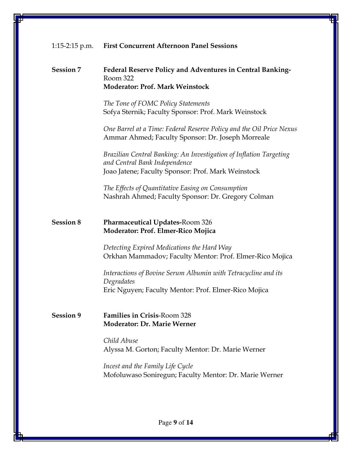#### Session 7 Federal Reserve Policy and Adventures in Central Banking-Room 322 Moderator: Prof. Mark Weinstock

The Tone of FOMC Policy Statements Sofya Sternik; Faculty Sponsor: Prof. Mark Weinstock

One Barrel at a Time: Federal Reserve Policy and the Oil Price Nexus Ammar Ahmed; Faculty Sponsor: Dr. Joseph Morreale

Brazilian Central Banking: An Investigation of Inflation Targeting and Central Bank Independence Joao Jatene; Faculty Sponsor: Prof. Mark Weinstock

The Effects of Quantitative Easing on Consumption Nashrah Ahmed; Faculty Sponsor: Dr. Gregory Colman

## Session 8 Pharmaceutical Updates-Room 326 Moderator: Prof. Elmer-Rico Mojica

Detecting Expired Medications the Hard Way Orkhan Mammadov; Faculty Mentor: Prof. Elmer-Rico Mojica

Interactions of Bovine Serum Albumin with Tetracycline and its Degradates Eric Nguyen; Faculty Mentor: Prof. Elmer-Rico Mojica

## Session 9 Families in Crisis-Room 328 Moderator: Dr. Marie Werner

Child Abuse Alyssa M. Gorton; Faculty Mentor: Dr. Marie Werner

Incest and the Family Life Cycle Mofoluwaso Soniregun; Faculty Mentor: Dr. Marie Werner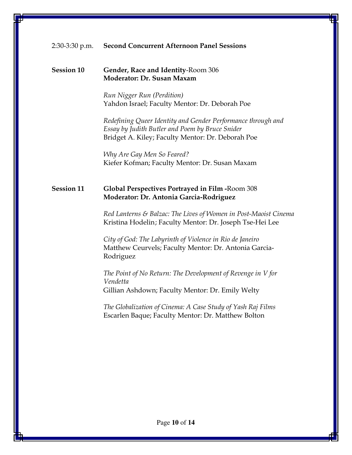#### Session 10 Gender, Race and Identity-Room 306 Moderator: Dr. Susan Maxam

Run Nigger Run (Perdition) Yahdon Israel; Faculty Mentor: Dr. Deborah Poe

Redefining Queer Identity and Gender Performance through and Essay by Judith Butler and Poem by Bruce Snider Bridget A. Kiley; Faculty Mentor: Dr. Deborah Poe

Why Are Gay Men So Feared? Kiefer Kofman; Faculty Mentor: Dr. Susan Maxam

## Session 11 Global Perspectives Portrayed in Film -Room 308 Moderator: Dr. Antonia Garcia-Rodriguez

Red Lanterns & Balzac: The Lives of Women in Post-Maoist Cinema Kristina Hodelin; Faculty Mentor: Dr. Joseph Tse-Hei Lee

City of God: The Labyrinth of Violence in Rio de Janeiro Matthew Ceurvels; Faculty Mentor: Dr. Antonia Garcia-Rodriguez

The Point of No Return: The Development of Revenge in V for Vendetta Gillian Ashdown; Faculty Mentor: Dr. Emily Welty

The Globalization of Cinema: A Case Study of Yash Raj Films Escarlen Baque; Faculty Mentor: Dr. Matthew Bolton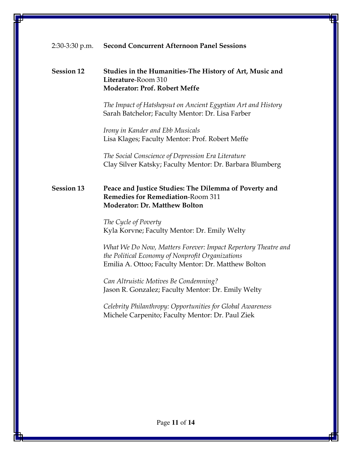## Session 12 Studies in the Humanities-The History of Art, Music and Literature-Room 310 Moderator: Prof. Robert Meffe

The Impact of Hatshepsut on Ancient Egyptian Art and History Sarah Batchelor; Faculty Mentor: Dr. Lisa Farber

Irony in Kander and Ebb Musicals Lisa Klages; Faculty Mentor: Prof. Robert Meffe

The Social Conscience of Depression Era Literature Clay Silver Katsky; Faculty Mentor: Dr. Barbara Blumberg

# Session 13 Peace and Justice Studies: The Dilemma of Poverty and Remedies for Remediation-Room 311 Moderator: Dr. Matthew Bolton

The Cycle of Poverty Kyla Korvne; Faculty Mentor: Dr. Emily Welty

What We Do Now, Matters Forever: Impact Repertory Theatre and the Political Economy of Nonprofit Organizations Emilia A. Ottoo; Faculty Mentor: Dr. Matthew Bolton

Can Altruistic Motives Be Condemning? Jason R. Gonzalez; Faculty Mentor: Dr. Emily Welty

Celebrity Philanthropy: Opportunities for Global Awareness Michele Carpenito; Faculty Mentor: Dr. Paul Ziek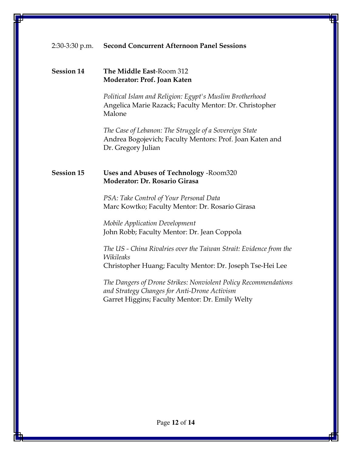## Session 14 The Middle East-Room 312 Moderator: Prof. Joan Katen

Political Islam and Religion: Egypt's Muslim Brotherhood Angelica Marie Razack; Faculty Mentor: Dr. Christopher Malone

The Case of Lebanon: The Struggle of a Sovereign State Andrea Bogojevich; Faculty Mentors: Prof. Joan Katen and Dr. Gregory Julian

## Session 15 Uses and Abuses of Technology -Room320 Moderator: Dr. Rosario Girasa

PSA: Take Control of Your Personal Data Marc Kowtko; Faculty Mentor: Dr. Rosario Girasa

Mobile Application Development John Robb; Faculty Mentor: Dr. Jean Coppola

The US - China Rivalries over the Taiwan Strait: Evidence from the Wikileaks Christopher Huang; Faculty Mentor: Dr. Joseph Tse-Hei Lee

The Dangers of Drone Strikes: Nonviolent Policy Recommendations and Strategy Changes for Anti-Drone Activism Garret Higgins; Faculty Mentor: Dr. Emily Welty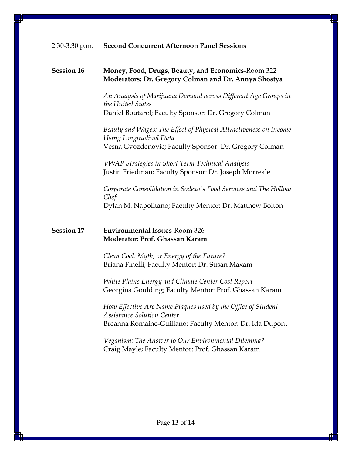## Session 16 Money, Food, Drugs, Beauty, and Economics-Room 322 Moderators: Dr. Gregory Colman and Dr. Annya Shostya

An Analysis of Marijuana Demand across Different Age Groups in the United States Daniel Boutarel; Faculty Sponsor: Dr. Gregory Colman

Beauty and Wages: The Effect of Physical Attractiveness on Income Using Longitudinal Data Vesna Gvozdenovic; Faculty Sponsor: Dr. Gregory Colman

VWAP Strategies in Short Term Technical Analysis Justin Friedman; Faculty Sponsor: Dr. Joseph Morreale

Corporate Consolidation in Sodexo's Food Services and The Hollow Chef Dylan M. Napolitano; Faculty Mentor: Dr. Matthew Bolton

## Session 17 Environmental Issues-Room 326 Moderator: Prof. Ghassan Karam

Clean Coal: Myth, or Energy of the Future? Briana Finelli; Faculty Mentor: Dr. Susan Maxam

White Plains Energy and Climate Center Cost Report Georgina Goulding; Faculty Mentor: Prof. Ghassan Karam

How Effective Are Name Plaques used by the Office of Student Assistance Solution Center Breanna Romaine-Guiliano; Faculty Mentor: Dr. Ida Dupont

Veganism: The Answer to Our Environmental Dilemma? Craig Mayle; Faculty Mentor: Prof. Ghassan Karam